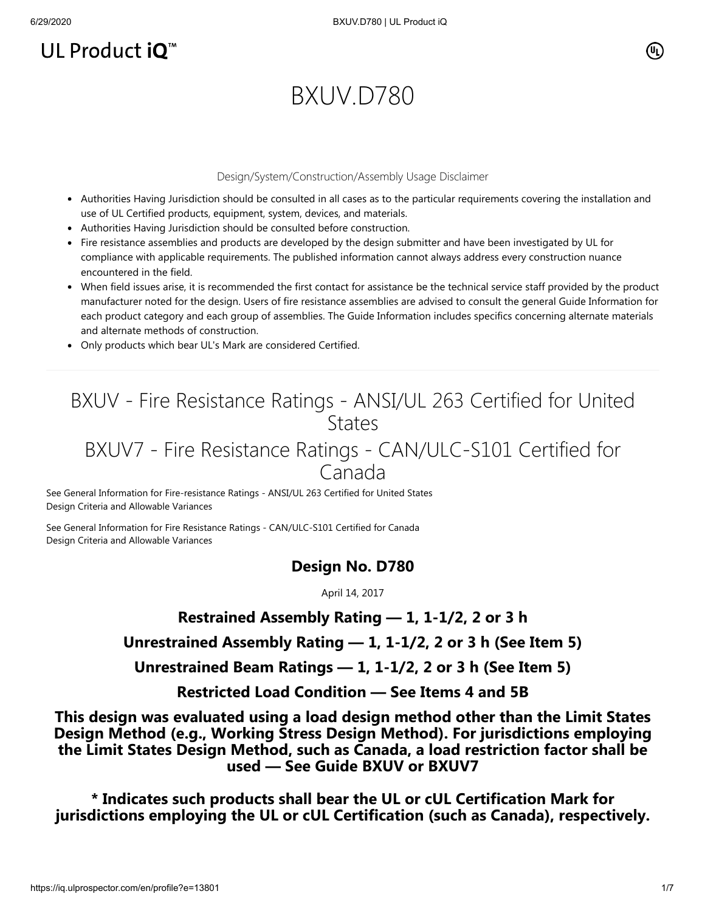# UL Product  $iQ^m$

## (Սլ՝

# BXUV.D780

#### Design/System/Construction/Assembly Usage Disclaimer

- Authorities Having Jurisdiction should be consulted in all cases as to the particular requirements covering the installation and use of UL Certified products, equipment, system, devices, and materials.
- Authorities Having Jurisdiction should be consulted before construction.
- Fire resistance assemblies and products are developed by the design submitter and have been investigated by UL for compliance with applicable requirements. The published information cannot always address every construction nuance encountered in the field.
- When field issues arise, it is recommended the first contact for assistance be the technical service staff provided by the product manufacturer noted for the design. Users of fire resistance assemblies are advised to consult the general Guide Information for each product category and each group of assemblies. The Guide Information includes specifics concerning alternate materials and alternate methods of construction.
- Only products which bear UL's Mark are considered Certified.

# BXUV - Fire Resistance Ratings - ANSI/UL 263 Certified for United **States**

## BXUV7 - Fire Resistance Ratings - CAN/ULC-S101 Certified for Canada

[See General Information for Fire-resistance Ratings - ANSI/UL 263 Certified for United States](https://iq.ulprospector.com/cgi-bin/XYV/template/LISEXT/1FRAME/showpage.html?name=BXUV.GuideInfo&ccnshorttitle=Fire-resistance+Ratings+-+ANSI/UL+263&objid=1074327030&cfgid=1073741824&version=versionless&parent_id=1073984818&sequence=1) Design Criteria and Allowable Variances

[See General Information for Fire Resistance Ratings - CAN/ULC-S101 Certified for Canada](https://iq.ulprospector.com/cgi-bin/XYV/template/LISEXT/1FRAME/showpage.html?name=BXUV7.GuideInfo&ccnshorttitle=Fire+Resistance+Ratings+-+CAN/ULC-S101+Certified+for+Canada&objid=1074205658&cfgid=1073741824&version=versionless&parent_id=1073984820&sequence=1) Design Criteria and Allowable Variances

#### **Design No. D780**

April 14, 2017

**Restrained Assembly Rating — 1, 1-1/2, 2 or 3 h**

### **Unrestrained Assembly Rating — 1, 1-1/2, 2 or 3 h (See Item 5)**

**Unrestrained Beam Ratings — 1, 1-1/2, 2 or 3 h (See Item 5)**

**Restricted Load Condition — See Items 4 and 5B**

**This design was evaluated using a load design method other than the Limit States Design Method (e.g., Working Stress Design Method). For jurisdictions employing the Limit States Design Method, such as Canada, a load restriction factor shall be used — See Guide [BXUV](http://database.ul.com/cgi-bin/XYV/template/LISEXT/1FRAME/showpage.html?name=BXUV.GuideInfo&ccnshorttitle=Fire-resistance+Ratings+-+ANSI/UL+263&objid=1074327030&cfgid=1073741824&version=versionless&parent_id=1073984818&sequence=1) or [BXUV7](http://database.ul.com/cgi-bin/XYV/template/LISEXT/1FRAME/showpage.html?name=BXUV7.GuideInfo&ccnshorttitle=Fire+Resistance+Ratings+-+CAN/ULC-S101M+Certified+for+Canada&objid=1074205658&cfgid=1073741824&version=versionless&parent_id=1073984820&sequence=1)**

**\* Indicates such products shall bear the UL or cUL Certification Mark for jurisdictions employing the UL or cUL Certification (such as Canada), respectively.**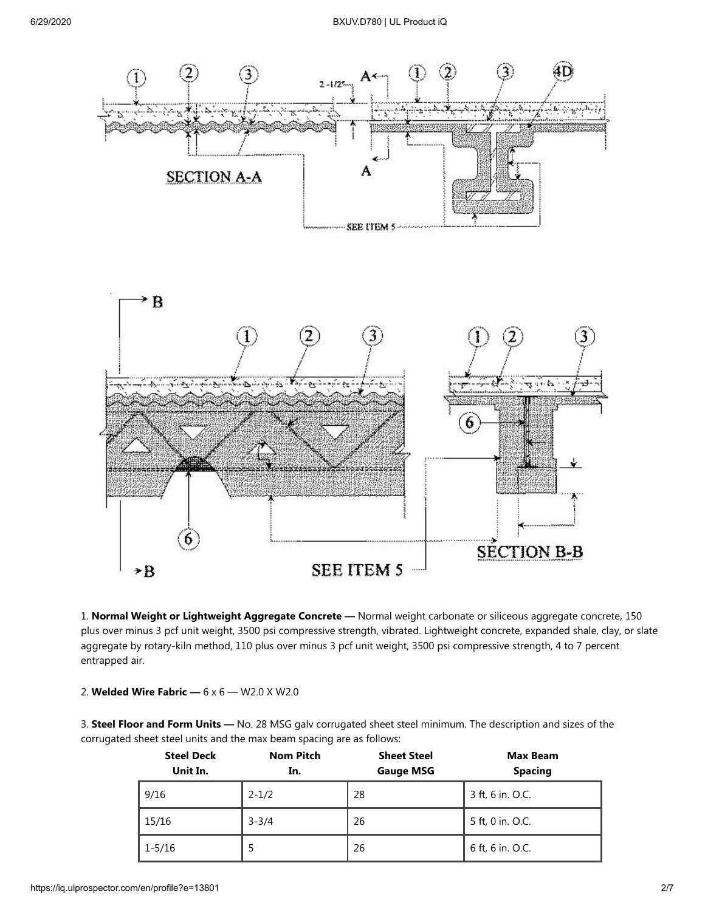

1. **Normal Weight or Lightweight Aggregate Concrete —** Normal weight carbonate or siliceous aggregate concrete, 150 plus over minus 3 pcf unit weight, 3500 psi compressive strength, vibrated. Lightweight concrete, expanded shale, clay, or slate aggregate by rotary-kiln method, 110 plus over minus 3 pcf unit weight, 3500 psi compressive strength, 4 to 7 percent entrapped air.

#### 2. **Welded Wire Fabric —** 6 x 6 — W2.0 X W2.0

3. **Steel Floor and Form Units —** No. 28 MSG galv corrugated sheet steel minimum. The description and sizes of the corrugated sheet steel units and the max beam spacing are as follows:

| <b>Steel Deck</b><br>Unit In. | <b>Nom Pitch</b><br>In. | <b>Sheet Steel</b><br><b>Gauge MSG</b> | <b>Max Beam</b><br><b>Spacing</b> |
|-------------------------------|-------------------------|----------------------------------------|-----------------------------------|
| 9/16                          | $2 - 1/2$               | 28                                     | 3 ft, 6 in. O.C.                  |
| 15/16                         | $3 - 3/4$               | 26                                     | 5 ft, 0 in. O.C.                  |
| 1-5/16                        | 5                       | 26                                     | 6 ft, 6 in. O.C.                  |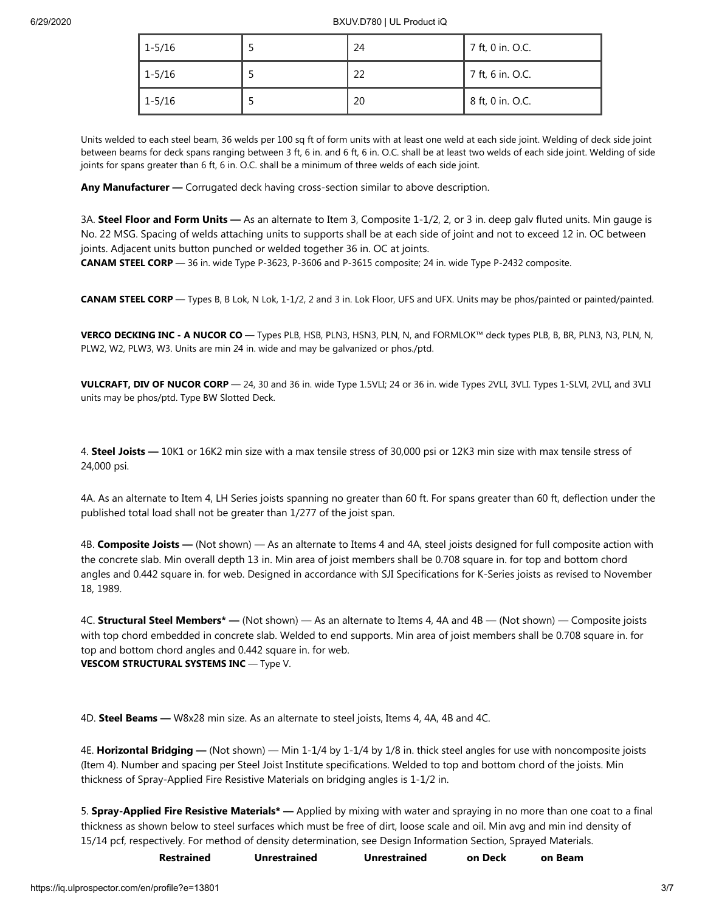| $1 - 5/16$ | 24 | 7 ft, 0 in. O.C. |
|------------|----|------------------|
| $1 - 5/16$ | 22 | 7 ft, 6 in. O.C. |
| $1 - 5/16$ | 20 | 8 ft, 0 in. O.C. |

Units welded to each steel beam, 36 welds per 100 sq ft of form units with at least one weld at each side joint. Welding of deck side joint between beams for deck spans ranging between 3 ft, 6 in. and 6 ft, 6 in. O.C. shall be at least two welds of each side joint. Welding of side joints for spans greater than 6 ft, 6 in. O.C. shall be a minimum of three welds of each side joint.

**Any Manufacturer —** Corrugated deck having cross-section similar to above description.

3A. **Steel Floor and Form Units —** As an alternate to Item 3, Composite 1-1/2, 2, or 3 in. deep galv fluted units. Min gauge is No. 22 MSG. Spacing of welds attaching units to supports shall be at each side of joint and not to exceed 12 in. OC between joints. Adjacent units button punched or welded together 36 in. OC at joints.

**CANAM STEEL CORP** — 36 in. wide Type P-3623, P-3606 and P-3615 composite; 24 in. wide Type P-2432 composite.

**CANAM STEEL CORP** — Types B, B Lok, N Lok, 1-1/2, 2 and 3 in. Lok Floor, UFS and UFX. Units may be phos/painted or painted/painted.

**VERCO DECKING INC - A NUCOR CO** — Types PLB, HSB, PLN3, HSN3, PLN, N, and FORMLOK™ deck types PLB, B, BR, PLN3, N3, PLN, N, PLW2, W2, PLW3, W3. Units are min 24 in. wide and may be galvanized or phos./ptd.

**VULCRAFT, DIV OF NUCOR CORP** — 24, 30 and 36 in. wide Type 1.5VLI; 24 or 36 in. wide Types 2VLI, 3VLI. Types 1-SLVI, 2VLI, and 3VLI units may be phos/ptd. Type BW Slotted Deck.

4. **Steel Joists —** 10K1 or 16K2 min size with a max tensile stress of 30,000 psi or 12K3 min size with max tensile stress of 24,000 psi.

4A. As an alternate to Item 4, LH Series joists spanning no greater than 60 ft. For spans greater than 60 ft, deflection under the published total load shall not be greater than 1/277 of the joist span.

4B. **Composite Joists —** (Not shown) — As an alternate to Items 4 and 4A, steel joists designed for full composite action with the concrete slab. Min overall depth 13 in. Min area of joist members shall be 0.708 square in. for top and bottom chord angles and 0.442 square in. for web. Designed in accordance with SJI Specifications for K-Series joists as revised to November 18, 1989.

4C. **Structural Steel Members\* —** (Not shown) — As an alternate to Items 4, 4A and 4B — (Not shown) — Composite joists with top chord embedded in concrete slab. Welded to end supports. Min area of joist members shall be 0.708 square in. for top and bottom chord angles and 0.442 square in. for web. **VESCOM STRUCTURAL SYSTEMS INC** — Type V.

4D. **Steel Beams —** W8x28 min size. As an alternate to steel joists, Items 4, 4A, 4B and 4C.

4E. **Horizontal Bridging —** (Not shown) — Min 1-1/4 by 1-1/4 by 1/8 in. thick steel angles for use with noncomposite joists (Item 4). Number and spacing per Steel Joist Institute specifications. Welded to top and bottom chord of the joists. Min thickness of Spray-Applied Fire Resistive Materials on bridging angles is 1-1/2 in.

5. **Spray-Applied Fire Resistive Materials\* —** Applied by mixing with water and spraying in no more than one coat to a final thickness as shown below to steel surfaces which must be free of dirt, loose scale and oil. Min avg and min ind density of 15/14 pcf, respectively. For method of density determination, see Design Information Section, Sprayed Materials.

| Restrained | Unrestrained | <b>Unrestrained</b> | on Deck | on Beam |
|------------|--------------|---------------------|---------|---------|
|            |              |                     |         |         |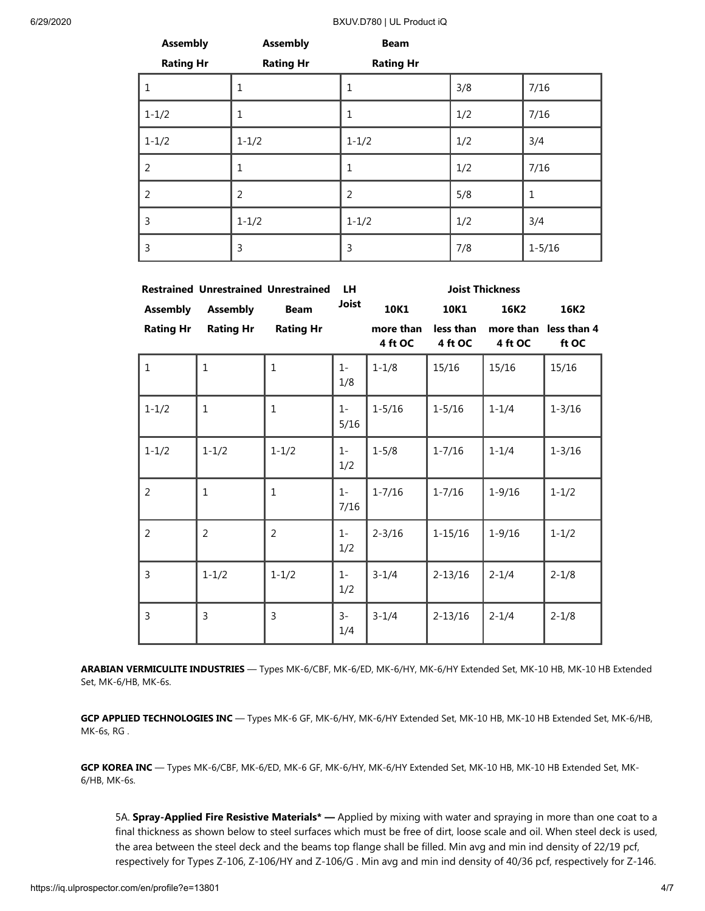6/29/2020 BXUV.D780 | UL Product iQ

| <b>Assembly</b>  | <b>Assembly</b>  | <b>Beam</b>      |     |            |
|------------------|------------------|------------------|-----|------------|
| <b>Rating Hr</b> | <b>Rating Hr</b> | <b>Rating Hr</b> |     |            |
| 1                | 1                | 1                | 3/8 | 7/16       |
| $1 - 1/2$        | 1                | $\mathbf{1}$     | 1/2 | 7/16       |
| $1 - 1/2$        | $1 - 1/2$        | $1 - 1/2$        | 1/2 | 3/4        |
| $\overline{2}$   | 1                | $\mathbf{1}$     | 1/2 | 7/16       |
| $\overline{2}$   | $\overline{2}$   | 2                | 5/8 | 1          |
| 3                | $1 - 1/2$        | $1 - 1/2$        | 1/2 | 3/4        |
| 3                | 3                | 3                | 7/8 | $1 - 5/16$ |

|                  |                  | <b>Restrained Unrestrained Unrestrained</b> | <b>LH</b>     | <b>Joist Thickness</b> |                      |                      |                      |
|------------------|------------------|---------------------------------------------|---------------|------------------------|----------------------|----------------------|----------------------|
| <b>Assembly</b>  | <b>Assembly</b>  | <b>Beam</b>                                 | <b>Joist</b>  | 10K1                   | 10K1                 | 16K2                 | 16K2                 |
| <b>Rating Hr</b> | <b>Rating Hr</b> | <b>Rating Hr</b>                            |               | more than<br>4 ft OC   | less than<br>4 ft OC | more than<br>4 ft OC | less than 4<br>ft OC |
| $\mathbf{1}$     | $\mathbf{1}$     | $\mathbf{1}$                                | $1 -$<br>1/8  | $1 - 1/8$              | 15/16                | 15/16                | 15/16                |
| $1 - 1/2$        | $\mathbf{1}$     | 1                                           | $1 -$<br>5/16 | $1 - 5/16$             | $1 - 5/16$           | $1 - 1/4$            | $1 - 3/16$           |
| $1 - 1/2$        | $1 - 1/2$        | $1 - 1/2$                                   | $1 -$<br>1/2  | $1 - 5/8$              | $1 - 7/16$           | $1 - 1/4$            | $1 - 3/16$           |
| $\overline{2}$   | $\mathbf 1$      | 1                                           | $1 -$<br>7/16 | $1 - 7/16$             | $1 - 7/16$           | $1 - 9/16$           | $1 - 1/2$            |
| 2                | $\overline{2}$   | $\overline{2}$                              | $1 -$<br>1/2  | $2 - 3/16$             | $1 - 15/16$          | $1 - 9/16$           | $1 - 1/2$            |
| 3                | $1 - 1/2$        | $1 - 1/2$                                   | $1 -$<br>1/2  | $3 - 1/4$              | $2 - 13/16$          | $2 - 1/4$            | $2 - 1/8$            |
| 3                | 3                | 3                                           | $3-$<br>1/4   | $3 - 1/4$              | $2 - 13/16$          | $2 - 1/4$            | $2 - 1/8$            |

**ARABIAN VERMICULITE INDUSTRIES** — Types MK-6/CBF, MK-6/ED, MK-6/HY, MK-6/HY Extended Set, MK-10 HB, MK-10 HB Extended Set, MK-6/HB, MK-6s.

**GCP APPLIED TECHNOLOGIES INC** — Types MK-6 GF, MK-6/HY, MK-6/HY Extended Set, MK-10 HB, MK-10 HB Extended Set, MK-6/HB, MK-6s, RG .

**GCP KOREA INC** — Types MK-6/CBF, MK-6/ED, MK-6 GF, MK-6/HY, MK-6/HY Extended Set, MK-10 HB, MK-10 HB Extended Set, MK-6/HB, MK-6s.

5A. **Spray-Applied Fire Resistive Materials\* —** Applied by mixing with water and spraying in more than one coat to a final thickness as shown below to steel surfaces which must be free of dirt, loose scale and oil. When steel deck is used, the area between the steel deck and the beams top flange shall be filled. Min avg and min ind density of 22/19 pcf, respectively for Types Z-106, Z-106/HY and Z-106/G . Min avg and min ind density of 40/36 pcf, respectively for Z-146.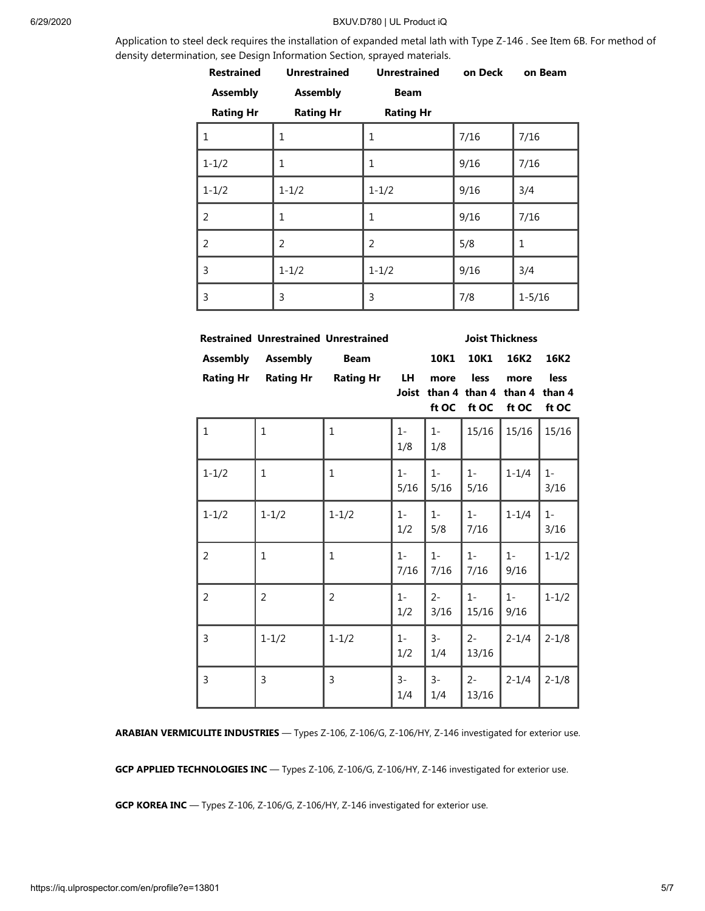#### 6/29/2020 BXUV.D780 | UL Product iQ

Application to steel deck requires the installation of expanded metal lath with Type Z-146 . See Item 6B. For method of density determination, see Design Information Section, sprayed materials.

| <b>Restrained</b> | <b>Unrestrained</b> | <b>Unrestrained</b> | on Deck | on Beam    |
|-------------------|---------------------|---------------------|---------|------------|
| <b>Assembly</b>   | <b>Assembly</b>     | <b>Beam</b>         |         |            |
| <b>Rating Hr</b>  | <b>Rating Hr</b>    | <b>Rating Hr</b>    |         |            |
| 1                 | 1                   | 1                   | 7/16    | 7/16       |
| $1 - 1/2$         | 1                   | 1                   | 9/16    | 7/16       |
| $1 - 1/2$         | $1 - 1/2$           | $1 - 1/2$           | 9/16    | 3/4        |
| 2                 | 1                   | 1                   | 9/16    | 7/16       |
| 2                 | 2                   | 2                   | 5/8     | 1          |
| 3                 | $1 - 1/2$           | $1 - 1/2$           | 9/16    | 3/4        |
| 3                 | 3                   | 3                   | 7/8     | $1 - 5/16$ |

|                  | <b>Restrained Unrestrained Unrestrained</b> |                  | <b>Joist Thickness</b> |               |                                |                         |                         |
|------------------|---------------------------------------------|------------------|------------------------|---------------|--------------------------------|-------------------------|-------------------------|
| <b>Assembly</b>  | <b>Assembly</b>                             | <b>Beam</b>      |                        | 10K1          | 10K1                           | 16K2                    | 16K2                    |
| <b>Rating Hr</b> | <b>Rating Hr</b>                            | <b>Rating Hr</b> | LH.<br>Joist           | more<br>ft OC | less<br>than 4 than 4<br>ft OC | more<br>than 4<br>ft OC | less<br>than 4<br>ft OC |
| $\mathbf{1}$     | $\mathbf{1}$                                | 1                | $1-$<br>1/8            | $1 -$<br>1/8  | 15/16                          | 15/16                   | 15/16                   |
| $1 - 1/2$        | $\mathbf{1}$                                | $\mathbf{1}$     | $1 -$<br>5/16          | $1 -$<br>5/16 | $1 -$<br>5/16                  | $1 - 1/4$               | $1-$<br>3/16            |
| $1 - 1/2$        | $1 - 1/2$                                   | $1 - 1/2$        | $1-$<br>1/2            | $1 -$<br>5/8  | $1 -$<br>7/16                  | $1 - 1/4$               | $1 -$<br>3/16           |
| $\overline{2}$   | $\mathbf{1}$                                | 1                | $1 -$<br>7/16          | $1 -$<br>7/16 | $1 -$<br>7/16                  | $1-$<br>9/16            | $1 - 1/2$               |
| $\overline{2}$   | $\overline{2}$                              | $\overline{2}$   | $1-$<br>1/2            | $2 -$<br>3/16 | $1 -$<br>15/16                 | $1 -$<br>9/16           | $1 - 1/2$               |
| 3                | $1 - 1/2$                                   | $1 - 1/2$        | $1 -$<br>1/2           | $3-$<br>1/4   | $2 -$<br>13/16                 | $2 - 1/4$               | $2 - 1/8$               |
| 3                | 3                                           | 3                | $3-$<br>1/4            | $3-$<br>1/4   | $2 -$<br>13/16                 | $2 - 1/4$               | $2 - 1/8$               |

**ARABIAN VERMICULITE INDUSTRIES** — Types Z-106, Z-106/G, Z-106/HY, Z-146 investigated for exterior use.

**GCP APPLIED TECHNOLOGIES INC** — Types Z-106, Z-106/G, Z-106/HY, Z-146 investigated for exterior use.

**GCP KOREA INC** — Types Z-106, Z-106/G, Z-106/HY, Z-146 investigated for exterior use.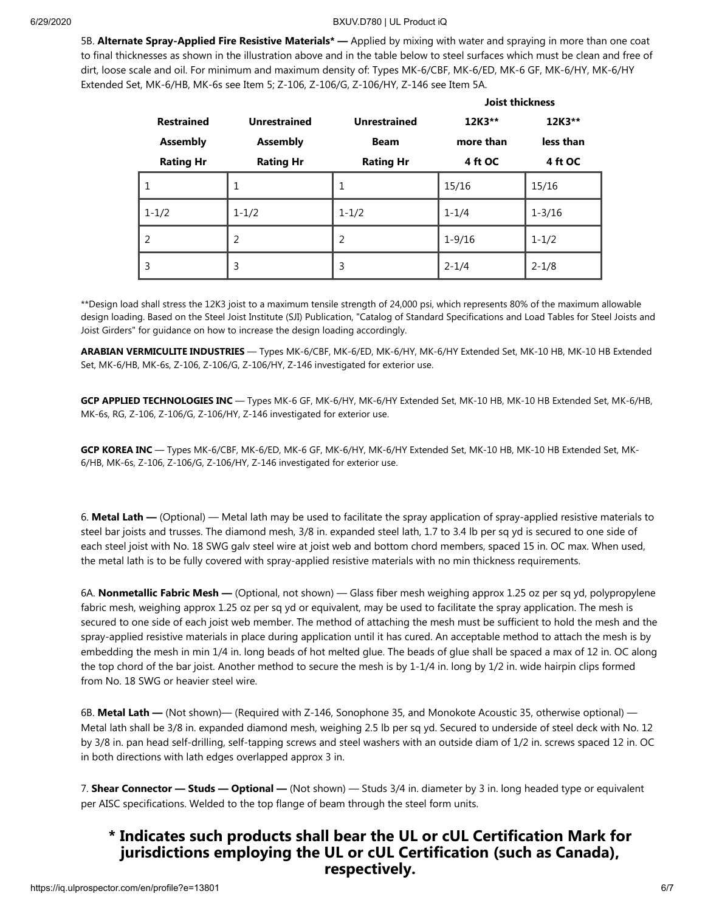**Joist thickness**

5B. **Alternate Spray-Applied Fire Resistive Materials\* —** Applied by mixing with water and spraying in more than one coat to final thicknesses as shown in the illustration above and in the table below to steel surfaces which must be clean and free of dirt, loose scale and oil. For minimum and maximum density of: Types MK-6/CBF, MK-6/ED, MK-6 GF, MK-6/HY, MK-6/HY Extended Set, MK-6/HB, MK-6s see Item 5; Z-106, Z-106/G, Z-106/HY, Z-146 see Item 5A.

|                   |                     |                     | JOIST THICKNESS |                    |
|-------------------|---------------------|---------------------|-----------------|--------------------|
| <b>Restrained</b> | <b>Unrestrained</b> | <b>Unrestrained</b> | 12K3**          | 12K3**             |
| <b>Assembly</b>   | <b>Assembly</b>     | <b>Beam</b>         | more than       | less than          |
| <b>Rating Hr</b>  | <b>Rating Hr</b>    | <b>Rating Hr</b>    | 4 ft OC         | 4 ft OC            |
| 1                 | 1                   | 1                   | 15/16           | 15/16              |
| $1 - 1/2$         | $1 - 1/2$           | $1 - 1/2$           | $1 - 1/4$       | $1 - \frac{3}{16}$ |
| $\mathcal{P}$     | 2                   | 2                   | $1 - 9/16$      | $1 - 1/2$          |
| 3                 | 3                   | 3                   | $2 - 1/4$       | $2 - 1/8$          |

\*\*Design load shall stress the 12K3 joist to a maximum tensile strength of 24,000 psi, which represents 80% of the maximum allowable design loading. Based on the Steel Joist Institute (SJI) Publication, "Catalog of Standard Specifications and Load Tables for Steel Joists and Joist Girders" for guidance on how to increase the design loading accordingly.

**ARABIAN VERMICULITE INDUSTRIES** — Types MK-6/CBF, MK-6/ED, MK-6/HY, MK-6/HY Extended Set, MK-10 HB, MK-10 HB Extended Set, MK-6/HB, MK-6s, Z-106, Z-106/G, Z-106/HY, Z-146 investigated for exterior use.

**GCP APPLIED TECHNOLOGIES INC** — Types MK-6 GF, MK-6/HY, MK-6/HY Extended Set, MK-10 HB, MK-10 HB Extended Set, MK-6/HB, MK-6s, RG, Z-106, Z-106/G, Z-106/HY, Z-146 investigated for exterior use.

**GCP KOREA INC** — Types MK-6/CBF, MK-6/ED, MK-6 GF, MK-6/HY, MK-6/HY Extended Set, MK-10 HB, MK-10 HB Extended Set, MK-6/HB, MK-6s, Z-106, Z-106/G, Z-106/HY, Z-146 investigated for exterior use.

6. **Metal Lath —** (Optional) — Metal lath may be used to facilitate the spray application of spray-applied resistive materials to steel bar joists and trusses. The diamond mesh, 3/8 in. expanded steel lath, 1.7 to 3.4 lb per sq yd is secured to one side of each steel joist with No. 18 SWG galv steel wire at joist web and bottom chord members, spaced 15 in. OC max. When used, the metal lath is to be fully covered with spray-applied resistive materials with no min thickness requirements.

6A. **Nonmetallic Fabric Mesh —** (Optional, not shown) — Glass fiber mesh weighing approx 1.25 oz per sq yd, polypropylene fabric mesh, weighing approx 1.25 oz per sq yd or equivalent, may be used to facilitate the spray application. The mesh is secured to one side of each joist web member. The method of attaching the mesh must be sufficient to hold the mesh and the spray-applied resistive materials in place during application until it has cured. An acceptable method to attach the mesh is by embedding the mesh in min 1/4 in. long beads of hot melted glue. The beads of glue shall be spaced a max of 12 in. OC along the top chord of the bar joist. Another method to secure the mesh is by 1-1/4 in. long by 1/2 in. wide hairpin clips formed from No. 18 SWG or heavier steel wire.

6B. **Metal Lath —** (Not shown)— (Required with Z-146, Sonophone 35, and Monokote Acoustic 35, otherwise optional) — Metal lath shall be 3/8 in. expanded diamond mesh, weighing 2.5 lb per sq yd. Secured to underside of steel deck with No. 12 by 3/8 in. pan head self-drilling, self-tapping screws and steel washers with an outside diam of 1/2 in. screws spaced 12 in. OC in both directions with lath edges overlapped approx 3 in.

7. **Shear Connector — Studs — Optional —** (Not shown) — Studs 3/4 in. diameter by 3 in. long headed type or equivalent per AISC specifications. Welded to the top flange of beam through the steel form units.

### **\* Indicates such products shall bear the UL or cUL Certification Mark for jurisdictions employing the UL or cUL Certification (such as Canada), respectively.**